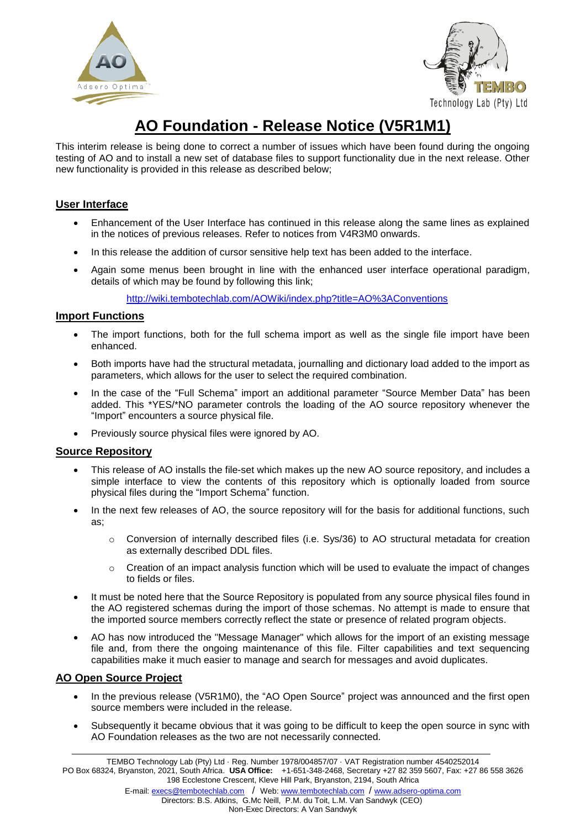



# **AO Foundation - Release Notice (V5R1M1)**

This interim release is being done to correct a number of issues which have been found during the ongoing testing of AO and to install a new set of database files to support functionality due in the next release. Other new functionality is provided in this release as described below;

## **User Interface**

- Enhancement of the User Interface has continued in this release along the same lines as explained in the notices of previous releases. Refer to notices from V4R3M0 onwards.
- In this release the addition of cursor sensitive help text has been added to the interface.
- Again some menus been brought in line with the enhanced user interface operational paradigm, details of which may be found by following this link;

<http://wiki.tembotechlab.com/AOWiki/index.php?title=AO%3AConventions>

### **Import Functions**

- The import functions, both for the full schema import as well as the single file import have been enhanced.
- Both imports have had the structural metadata, journalling and dictionary load added to the import as parameters, which allows for the user to select the required combination.
- In the case of the "Full Schema" import an additional parameter "Source Member Data" has been added. This \*YES/\*NO parameter controls the loading of the AO source repository whenever the "Import" encounters a source physical file.
- Previously source physical files were ignored by AO.

### **Source Repository**

- This release of AO installs the file-set which makes up the new AO source repository, and includes a simple interface to view the contents of this repository which is optionally loaded from source physical files during the "Import Schema" function.
- In the next few releases of AO, the source repository will for the basis for additional functions, such as;
	- $\circ$  Conversion of internally described files (i.e. Sys/36) to AO structural metadata for creation as externally described DDL files.
	- $\circ$  Creation of an impact analysis function which will be used to evaluate the impact of changes to fields or files.
- It must be noted here that the Source Repository is populated from any source physical files found in the AO registered schemas during the import of those schemas. No attempt is made to ensure that the imported source members correctly reflect the state or presence of related program objects.
- AO has now introduced the "Message Manager" which allows for the import of an existing message file and, from there the ongoing maintenance of this file. Filter capabilities and text sequencing capabilities make it much easier to manage and search for messages and avoid duplicates.

### **AO Open Source Project**

- In the previous release (V5R1M0), the "AO Open Source" project was announced and the first open source members were included in the release.
- Subsequently it became obvious that it was going to be difficult to keep the open source in sync with AO Foundation releases as the two are not necessarily connected.